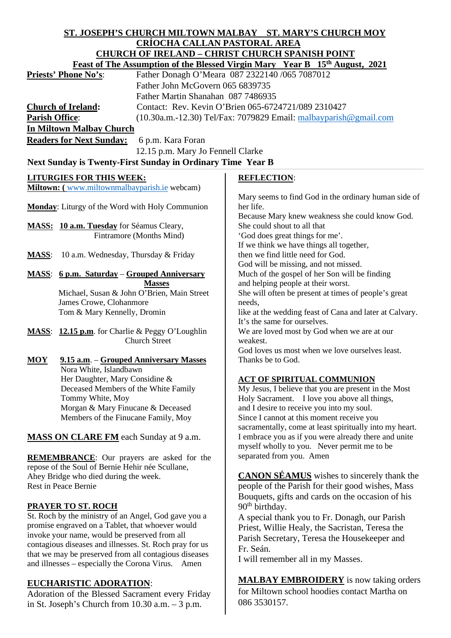### **ST. JOSEPH'S CHURCH MILTOWN MALBAY ST. MARY'S CHURCH MOY CRÍOCHA CALLAN PASTORAL AREA CHURCH OF IRELAND – CHRIST CHURCH SPANISH POINT**

| CHURCH OF IRELAND – CHRIST CHURCH SPANISH POINT                                         |                                                 |                                                                  |                                                                                         |
|-----------------------------------------------------------------------------------------|-------------------------------------------------|------------------------------------------------------------------|-----------------------------------------------------------------------------------------|
| Feast of The Assumption of the Blessed Virgin Mary Year B 15 <sup>th</sup> August, 2021 |                                                 |                                                                  |                                                                                         |
| <b>Priests' Phone No's:</b>                                                             |                                                 | Father Donagh O'Meara 087 2322140 /065 7087012                   |                                                                                         |
|                                                                                         |                                                 | Father John McGovern 065 6839735                                 |                                                                                         |
|                                                                                         |                                                 | Father Martin Shanahan 087 7486935                               |                                                                                         |
| <b>Church of Ireland:</b>                                                               |                                                 |                                                                  | Contact: Rev. Kevin O'Brien 065-6724721/089 2310427                                     |
| <b>Parish Office:</b>                                                                   |                                                 | (10.30a.m.-12.30) Tel/Fax: 7079829 Email: malbayparish@gmail.com |                                                                                         |
| <b>In Miltown Malbay Church</b>                                                         |                                                 |                                                                  |                                                                                         |
| <b>Readers for Next Sunday:</b>                                                         |                                                 |                                                                  |                                                                                         |
|                                                                                         |                                                 | 6 p.m. Kara Foran                                                |                                                                                         |
| 12.15 p.m. Mary Jo Fennell Clarke                                                       |                                                 |                                                                  |                                                                                         |
| Next Sunday is Twenty-First Sunday in Ordinary Time Year B                              |                                                 |                                                                  |                                                                                         |
| <b>LITURGIES FOR THIS WEEK:</b>                                                         |                                                 |                                                                  | <b>REFLECTION:</b>                                                                      |
| Miltown: (www.miltownmalbayparish.ie webcam)                                            |                                                 |                                                                  |                                                                                         |
|                                                                                         |                                                 |                                                                  | Mary seems to find God in the ordinary human side of                                    |
| <b>Monday:</b> Liturgy of the Word with Holy Communion                                  |                                                 |                                                                  | her life.                                                                               |
|                                                                                         |                                                 |                                                                  | Because Mary knew weakness she could know God.                                          |
| MASS: 10 a.m. Tuesday for Séamus Cleary,                                                |                                                 |                                                                  | She could shout to all that                                                             |
|                                                                                         |                                                 | Fintramore (Months Mind)                                         | 'God does great things for me'.                                                         |
|                                                                                         |                                                 |                                                                  | If we think we have things all together,                                                |
| <b>MASS:</b>                                                                            | 10 a.m. Wednesday, Thursday & Friday            |                                                                  | then we find little need for God.                                                       |
|                                                                                         |                                                 |                                                                  | God will be missing, and not missed.                                                    |
| <b>MASS:</b>                                                                            | 6 p.m. Saturday – Grouped Anniversary           |                                                                  | Much of the gospel of her Son will be finding                                           |
|                                                                                         |                                                 | <b>Masses</b>                                                    | and helping people at their worst.                                                      |
|                                                                                         |                                                 | Michael, Susan & John O'Brien, Main Street                       | She will often be present at times of people's great                                    |
| James Crowe, Clohanmore<br>Tom & Mary Kennelly, Dromin                                  |                                                 |                                                                  | needs,                                                                                  |
|                                                                                         |                                                 |                                                                  | like at the wedding feast of Cana and later at Calvary.<br>It's the same for ourselves. |
|                                                                                         | MASS: 12.15 p.m. for Charlie & Peggy O'Loughlin |                                                                  | We are loved most by God when we are at our                                             |
|                                                                                         |                                                 | <b>Church Street</b>                                             | weakest.                                                                                |
|                                                                                         |                                                 |                                                                  | God loves us most when we love ourselves least.                                         |
| MOY                                                                                     | 9.15 a.m. - Grouped Anniversary Masses          |                                                                  | Thanks be to God.                                                                       |
|                                                                                         | Nora White, Islandbawn                          |                                                                  |                                                                                         |
|                                                                                         | Her Daughter, Mary Considine &                  |                                                                  | <b>ACT OF SPIRITUAL COMMUNION</b>                                                       |
|                                                                                         | Deceased Members of the White Family            |                                                                  | My Jesus, I believe that you are present in the Most                                    |
|                                                                                         | Tommy White, Moy                                |                                                                  | Holy Sacrament. I love you above all things,                                            |
|                                                                                         | Morgan & Mary Finucane & Deceased               |                                                                  | and I desire to receive you into my soul.                                               |
|                                                                                         | Members of the Finucane Family, Moy             |                                                                  | Since I cannot at this moment receive you                                               |
|                                                                                         |                                                 |                                                                  | sacramentally, come at least spiritually into my heart.                                 |
| <b>MASS ON CLARE FM</b> each Sunday at 9 a.m.                                           |                                                 |                                                                  | I embrace you as if you were already there and unite                                    |
|                                                                                         |                                                 |                                                                  | myself wholly to you. Never permit me to be                                             |
| <b>REMEMBRANCE:</b> Our prayers are asked for the                                       |                                                 |                                                                  | separated from you. Amen                                                                |
| repose of the Soul of Bernie Hehir née Scullane,                                        |                                                 |                                                                  |                                                                                         |
| Ahey Bridge who died during the week.                                                   |                                                 |                                                                  | <b>CANON SÉAMUS</b> wishes to sincerely thank the                                       |
| Rest in Peace Bernie                                                                    |                                                 |                                                                  | people of the Parish for their good wishes, Mass                                        |
|                                                                                         |                                                 |                                                                  | Bouquets, gifts and cards on the occasion of his                                        |
| <b>PRAYER TO ST. ROCH</b>                                                               |                                                 |                                                                  | 90 <sup>th</sup> birthday.                                                              |
| St. Roch by the ministry of an Angel, God gave you a                                    |                                                 |                                                                  | A special thank you to Fr. Donagh, our Parish                                           |
| promise engraved on a Tablet, that whoever would                                        |                                                 |                                                                  | Priest, Willie Healy, the Sacristan, Teresa the                                         |
| invoke your name, would be preserved from all                                           |                                                 |                                                                  | Parish Secretary, Teresa the Housekeeper and                                            |
| contagious diseases and illnesses. St. Roch pray for us                                 |                                                 |                                                                  | $E_r$ $S_{\alpha\alpha}$                                                                |

Fr. Seán.

I will remember all in my Masses.

**MALBAY EMBROIDERY** is now taking orders for Miltown school hoodies contact Martha on 086 3530157.

# **EUCHARISTIC ADORATION**:

Adoration of the Blessed Sacrament every Friday in St. Joseph's Church from 10.30 a.m. – 3 p.m.

that we may be preserved from all contagious diseases and illnesses – especially the Corona Virus. Amen